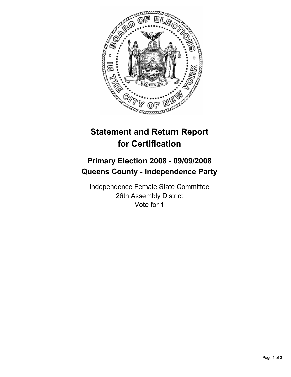

## **Statement and Return Report for Certification**

## **Primary Election 2008 - 09/09/2008 Queens County - Independence Party**

Independence Female State Committee 26th Assembly District Vote for 1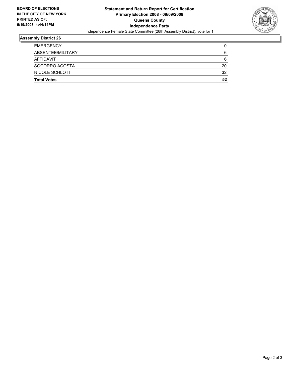

## **Assembly District 26**

| <b>EMERGENCY</b>   |    |
|--------------------|----|
| ABSENTEE/MILITARY  | 6  |
| AFFIDAVIT          | 6  |
| SOCORRO ACOSTA     | 20 |
| NICOLE SCHLOTT     | 32 |
| <b>Total Votes</b> | 52 |